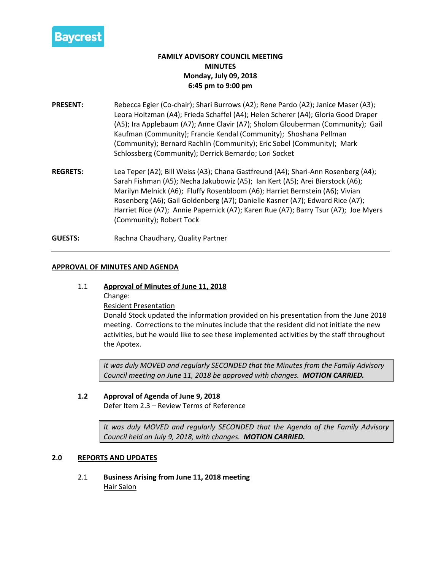

## **FAMILY ADVISORY COUNCIL MEETING MINUTES Monday, July 09, 2018 6:45 pm to 9:00 pm**

- **PRESENT:** Rebecca Egier (Co-chair); Shari Burrows (A2); Rene Pardo (A2); Janice Maser (A3); Leora Holtzman (A4); Frieda Schaffel (A4); Helen Scherer (A4); Gloria Good Draper (A5); Ira Applebaum (A7); Anne Clavir (A7); Sholom Glouberman (Community); Gail Kaufman (Community); Francie Kendal (Community); Shoshana Pellman (Community); Bernard Rachlin (Community); Eric Sobel (Community); Mark Schlossberg (Community); Derrick Bernardo; Lori Socket
- **REGRETS:** Lea Teper (A2); Bill Weiss (A3); Chana Gastfreund (A4); Shari-Ann Rosenberg (A4); Sarah Fishman (A5); Necha Jakubowiz (A5); Ian Kert (A5); Arei Bierstock (A6); Marilyn Melnick (A6); Fluffy Rosenbloom (A6); Harriet Bernstein (A6); Vivian Rosenberg (A6); Gail Goldenberg (A7); Danielle Kasner (A7); Edward Rice (A7); Harriet Rice (A7); Annie Papernick (A7); Karen Rue (A7); Barry Tsur (A7); Joe Myers (Community); Robert Tock
- **GUESTS:** Rachna Chaudhary, Quality Partner

## **APPROVAL OF MINUTES AND AGENDA**

- 1.1 **Approval of Minutes of June 11, 2018**
	- Change:

Resident Presentation

Donald Stock updated the information provided on his presentation from the June 2018 meeting. Corrections to the minutes include that the resident did not initiate the new activities, but he would like to see these implemented activities by the staff throughout the Apotex.

*It was duly MOVED and regularly SECONDED that the Minutes from the Family Advisory Council meeting on June 11, 2018 be approved with changes. MOTION CARRIED.*

#### **1.2 Approval of Agenda of June 9, 2018**

Defer Item 2.3 – Review Terms of Reference

*It was duly MOVED and regularly SECONDED that the Agenda of the Family Advisory Council held on July 9, 2018, with changes. MOTION CARRIED.*

#### **2.0 REPORTS AND UPDATES**

2.1 **Business Arising from June 11, 2018 meeting**  Hair Salon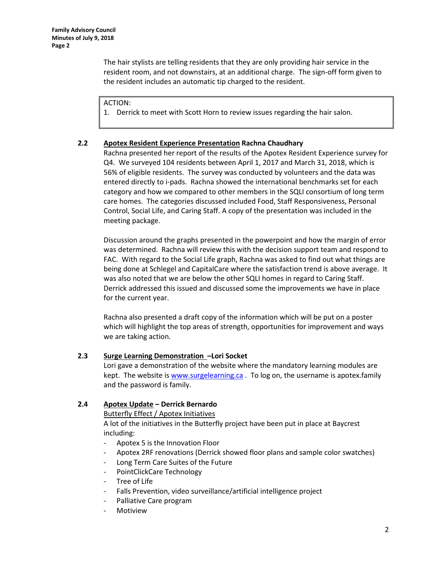The hair stylists are telling residents that they are only providing hair service in the resident room, and not downstairs, at an additional charge. The sign-off form given to the resident includes an automatic tip charged to the resident.

ACTION:

1. Derrick to meet with Scott Horn to review issues regarding the hair salon.

## **2.2 Apotex Resident Experience Presentation Rachna Chaudhary**

Rachna presented her report of the results of the Apotex Resident Experience survey for Q4. We surveyed 104 residents between April 1, 2017 and March 31, 2018, which is 56% of eligible residents. The survey was conducted by volunteers and the data was entered directly to i-pads. Rachna showed the international benchmarks set for each category and how we compared to other members in the SQLI consortium of long term care homes. The categories discussed included Food, Staff Responsiveness, Personal Control, Social Life, and Caring Staff. A copy of the presentation was included in the meeting package.

Discussion around the graphs presented in the powerpoint and how the margin of error was determined. Rachna will review this with the decision support team and respond to FAC. With regard to the Social Life graph, Rachna was asked to find out what things are being done at Schlegel and CapitalCare where the satisfaction trend is above average. It was also noted that we are below the other SQLI homes in regard to Caring Staff. Derrick addressed this issued and discussed some the improvements we have in place for the current year.

Rachna also presented a draft copy of the information which will be put on a poster which will highlight the top areas of strength, opportunities for improvement and ways we are taking action.

## **2.3 Surge Learning Demonstration –Lori Socket**

Lori gave a demonstration of the website where the mandatory learning modules are kept. The website i[s www.surgelearning.ca](http://www.surgelearning.ca/). To log on, the username is apotex.family and the password is family.

## **2.4 Apotex Update – Derrick Bernardo**

## Butterfly Effect / Apotex Initiatives

A lot of the initiatives in the Butterfly project have been put in place at Baycrest including:

- Apotex 5 is the Innovation Floor
- Apotex 2RF renovations (Derrick showed floor plans and sample color swatches)
- Long Term Care Suites of the Future
- PointClickCare Technology
- Tree of Life
- Falls Prevention, video surveillance/artificial intelligence project
- Palliative Care program
- **Motiview**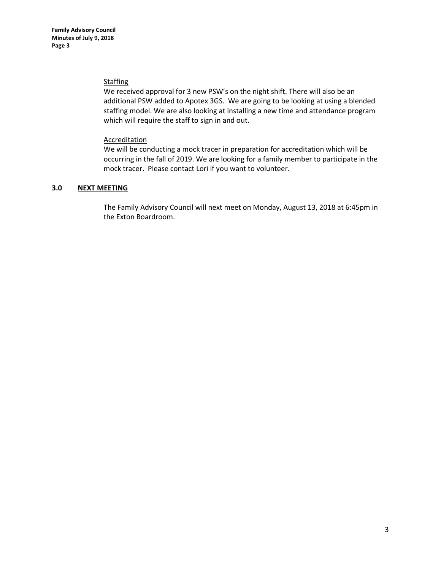**Family Advisory Council Minutes of July 9, 2018 Page 3**

#### **Staffing**

We received approval for 3 new PSW's on the night shift. There will also be an additional PSW added to Apotex 3GS. We are going to be looking at using a blended staffing model. We are also looking at installing a new time and attendance program which will require the staff to sign in and out.

#### Accreditation

We will be conducting a mock tracer in preparation for accreditation which will be occurring in the fall of 2019. We are looking for a family member to participate in the mock tracer. Please contact Lori if you want to volunteer.

## **3.0 NEXT MEETING**

The Family Advisory Council will next meet on Monday, August 13, 2018 at 6:45pm in the Exton Boardroom.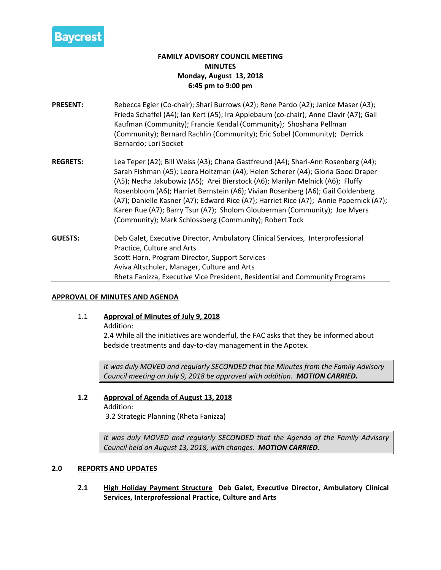

## **FAMILY ADVISORY COUNCIL MEETING MINUTES Monday, August 13, 2018 6:45 pm to 9:00 pm**

- **PRESENT:** Rebecca Egier (Co-chair); Shari Burrows (A2); Rene Pardo (A2); Janice Maser (A3); Frieda Schaffel (A4); Ian Kert (A5); Ira Applebaum (co-chair); Anne Clavir (A7); Gail Kaufman (Community); Francie Kendal (Community); Shoshana Pellman (Community); Bernard Rachlin (Community); Eric Sobel (Community); Derrick Bernardo; Lori Socket
- **REGRETS:** Lea Teper (A2); Bill Weiss (A3); Chana Gastfreund (A4); Shari-Ann Rosenberg (A4); Sarah Fishman (A5); Leora Holtzman (A4); Helen Scherer (A4); Gloria Good Draper (A5); Necha Jakubowiz (A5); Arei Bierstock (A6); Marilyn Melnick (A6); Fluffy Rosenbloom (A6); Harriet Bernstein (A6); Vivian Rosenberg (A6); Gail Goldenberg (A7); Danielle Kasner (A7); Edward Rice (A7); Harriet Rice (A7); Annie Papernick (A7); Karen Rue (A7); Barry Tsur (A7); Sholom Glouberman (Community); Joe Myers (Community); Mark Schlossberg (Community); Robert Tock
- **GUESTS:** Deb Galet, Executive Director, Ambulatory Clinical Services, Interprofessional Practice, Culture and Arts Scott Horn, Program Director, Support Services Aviva Altschuler, Manager, Culture and Arts Rheta Fanizza, Executive Vice President, Residential and Community Programs

## **APPROVAL OF MINUTES AND AGENDA**

## 1.1 **Approval of Minutes of July 9, 2018**

Addition:

2.4 While all the initiatives are wonderful, the FAC asks that they be informed about bedside treatments and day-to-day management in the Apotex.

*It was duly MOVED and regularly SECONDED that the Minutes from the Family Advisory Council meeting on July 9, 2018 be approved with addition. MOTION CARRIED.*

## **1.2 Approval of Agenda of August 13, 2018**

Addition:

3.2 Strategic Planning (Rheta Fanizza)

*It was duly MOVED and regularly SECONDED that the Agenda of the Family Advisory Council held on August 13, 2018, with changes. MOTION CARRIED.*

#### **2.0 REPORTS AND UPDATES**

**2.1 High Holiday Payment Structure Deb Galet, Executive Director, Ambulatory Clinical Services, Interprofessional Practice, Culture and Arts**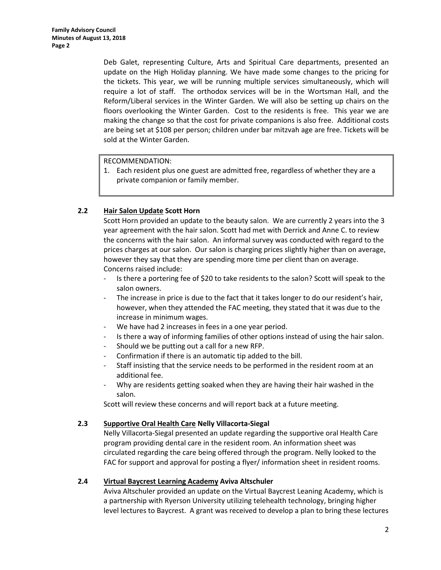Deb Galet, representing Culture, Arts and Spiritual Care departments, presented an update on the High Holiday planning. We have made some changes to the pricing for the tickets. This year, we will be running multiple services simultaneously, which will require a lot of staff. The orthodox services will be in the Wortsman Hall, and the Reform/Liberal services in the Winter Garden. We will also be setting up chairs on the floors overlooking the Winter Garden. Cost to the residents is free. This year we are making the change so that the cost for private companions is also free. Additional costs are being set at \$108 per person; children under bar mitzvah age are free. Tickets will be sold at the Winter Garden.

## RECOMMENDATION:

1. Each resident plus one guest are admitted free, regardless of whether they are a private companion or family member.

## **2.2 Hair Salon Update Scott Horn**

Scott Horn provided an update to the beauty salon. We are currently 2 years into the 3 year agreement with the hair salon. Scott had met with Derrick and Anne C. to review the concerns with the hair salon. An informal survey was conducted with regard to the prices charges at our salon. Our salon is charging prices slightly higher than on average, however they say that they are spending more time per client than on average. Concerns raised include:

- Is there a portering fee of \$20 to take residents to the salon? Scott will speak to the salon owners.
- The increase in price is due to the fact that it takes longer to do our resident's hair, however, when they attended the FAC meeting, they stated that it was due to the increase in minimum wages.
- We have had 2 increases in fees in a one year period.
- Is there a way of informing families of other options instead of using the hair salon.
- Should we be putting out a call for a new RFP.
- Confirmation if there is an automatic tip added to the bill.
- Staff insisting that the service needs to be performed in the resident room at an additional fee.
- Why are residents getting soaked when they are having their hair washed in the salon.

Scott will review these concerns and will report back at a future meeting.

## **2.3 Supportive Oral Health Care Nelly Villacorta-Siegal**

Nelly Villacorta-Siegal presented an update regarding the supportive oral Health Care program providing dental care in the resident room. An information sheet was circulated regarding the care being offered through the program. Nelly looked to the FAC for support and approval for posting a flyer/ information sheet in resident rooms.

## **2.4 Virtual Baycrest Learning Academy Aviva Altschuler**

Aviva Altschuler provided an update on the Virtual Baycrest Leaning Academy, which is a partnership with Ryerson University utilizing telehealth technology, bringing higher level lectures to Baycrest. A grant was received to develop a plan to bring these lectures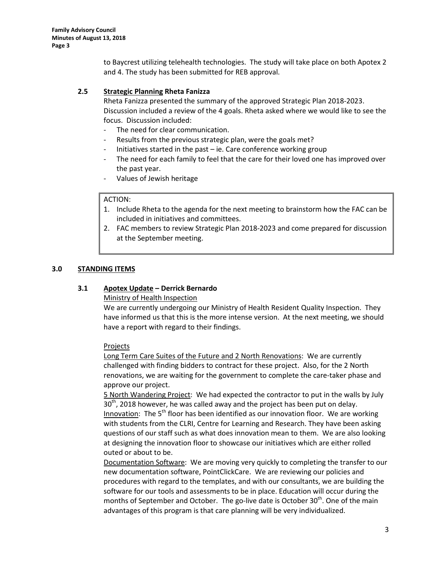to Baycrest utilizing telehealth technologies. The study will take place on both Apotex 2 and 4. The study has been submitted for REB approval.

### **2.5 Strategic Planning Rheta Fanizza**

Rheta Fanizza presented the summary of the approved Strategic Plan 2018-2023. Discussion included a review of the 4 goals. Rheta asked where we would like to see the focus. Discussion included:

- The need for clear communication.
- Results from the previous strategic plan, were the goals met?
- Initiatives started in the past ie. Care conference working group
- The need for each family to feel that the care for their loved one has improved over the past year.
- Values of Jewish heritage

#### ACTION:

- 1. Include Rheta to the agenda for the next meeting to brainstorm how the FAC can be included in initiatives and committees.
- 2. FAC members to review Strategic Plan 2018-2023 and come prepared for discussion at the September meeting.

#### **3.0 STANDING ITEMS**

#### **3.1 Apotex Update – Derrick Bernardo**

#### Ministry of Health Inspection

We are currently undergoing our Ministry of Health Resident Quality Inspection. They have informed us that this is the more intense version. At the next meeting, we should have a report with regard to their findings.

#### Projects

Long Term Care Suites of the Future and 2 North Renovations: We are currently challenged with finding bidders to contract for these project. Also, for the 2 North renovations, we are waiting for the government to complete the care-taker phase and approve our project.

5 North Wandering Project: We had expected the contractor to put in the walls by July  $30<sup>th</sup>$ , 2018 however, he was called away and the project has been put on delay. Innovation: The  $5<sup>th</sup>$  floor has been identified as our innovation floor. We are working with students from the CLRI, Centre for Learning and Research. They have been asking questions of our staff such as what does innovation mean to them. We are also looking at designing the innovation floor to showcase our initiatives which are either rolled outed or about to be.

Documentation Software: We are moving very quickly to completing the transfer to our new documentation software, PointClickCare. We are reviewing our policies and procedures with regard to the templates, and with our consultants, we are building the software for our tools and assessments to be in place. Education will occur during the months of September and October. The go-live date is October  $30<sup>th</sup>$ . One of the main advantages of this program is that care planning will be very individualized.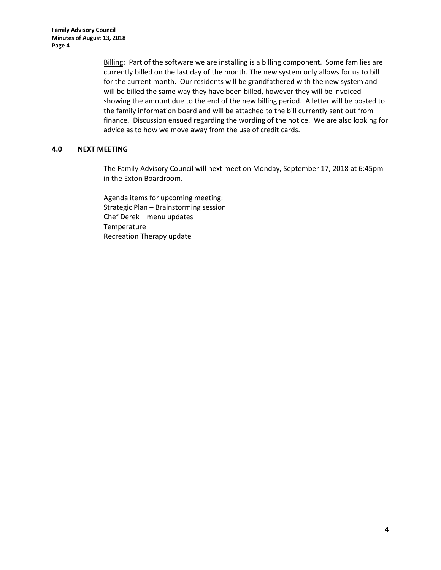**Family Advisory Council Minutes of August 13, 2018 Page 4**

> Billing: Part of the software we are installing is a billing component. Some families are currently billed on the last day of the month. The new system only allows for us to bill for the current month. Our residents will be grandfathered with the new system and will be billed the same way they have been billed, however they will be invoiced showing the amount due to the end of the new billing period. A letter will be posted to the family information board and will be attached to the bill currently sent out from finance. Discussion ensued regarding the wording of the notice. We are also looking for advice as to how we move away from the use of credit cards.

## **4.0 NEXT MEETING**

The Family Advisory Council will next meet on Monday, September 17, 2018 at 6:45pm in the Exton Boardroom.

Agenda items for upcoming meeting: Strategic Plan – Brainstorming session Chef Derek – menu updates Temperature Recreation Therapy update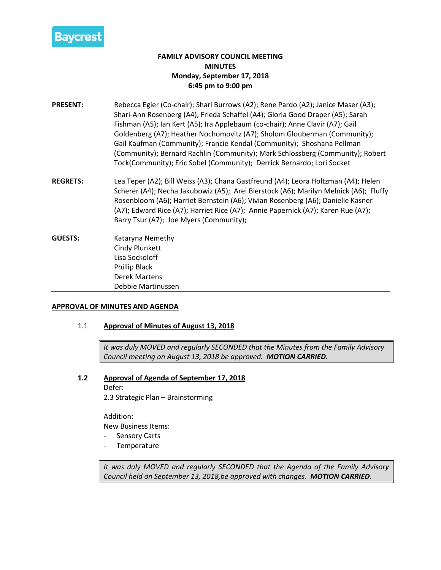

## **FAMILY ADVISORY COUNCIL MEETING MINUTES Monday, September 17, 2018 6:45 pm to 9:00 pm**

- **PRESENT:** Rebecca Egier (Co-chair); Shari Burrows (A2); Rene Pardo (A2); Janice Maser (A3); Shari-Ann Rosenberg (A4); Frieda Schaffel (A4); Gloria Good Draper (A5); Sarah Fishman (A5); Ian Kert (A5); Ira Applebaum (co-chair); Anne Clavir (A7); Gail Goldenberg (A7); Heather Nochomovitz (A7); Sholom Glouberman (Community); Gail Kaufman (Community); Francie Kendal (Community); Shoshana Pellman (Community); Bernard Rachlin (Community); Mark Schlossberg (Community); Robert Tock(Community); Eric Sobel (Community); Derrick Bernardo; Lori Socket
- **REGRETS:** Lea Teper (A2); Bill Weiss (A3); Chana Gastfreund (A4); Leora Holtzman (A4); Helen Scherer (A4); Necha Jakubowiz (A5); Arei Bierstock (A6); Marilyn Melnick (A6); Fluffy Rosenbloom (A6); Harriet Bernstein (A6); Vivian Rosenberg (A6); Danielle Kasner (A7); Edward Rice (A7); Harriet Rice (A7); Annie Papernick (A7); Karen Rue (A7); Barry Tsur (A7); Joe Myers (Community);
- **GUESTS:** Kataryna Nemethy Cindy Plunkett Lisa Sockoloff Phillip Black Derek Martens Debbie Martinussen

#### **APPROVAL OF MINUTES AND AGENDA**

#### 1.1 **Approval of Minutes of August 13, 2018**

*It was duly MOVED and regularly SECONDED that the Minutes from the Family Advisory Council meeting on August 13, 2018 be approved. MOTION CARRIED.*

#### **1.2 Approval of Agenda of September 17, 2018**

Defer: 2.3 Strategic Plan – Brainstorming

Addition: New Business Items:

- Sensory Carts
- **Temperature**

*It was duly MOVED and regularly SECONDED that the Agenda of the Family Advisory Council held on September 13, 2018,be approved with changes. MOTION CARRIED.*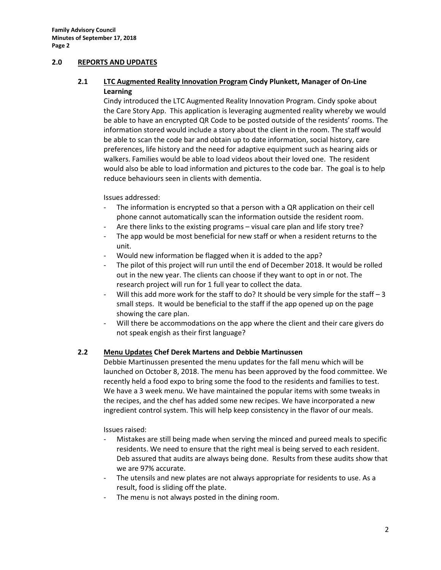### **2.0 REPORTS AND UPDATES**

## **2.1 LTC Augmented Reality Innovation Program Cindy Plunkett, Manager of On-Line Learning**

Cindy introduced the LTC Augmented Reality Innovation Program. Cindy spoke about the Care Story App. This application is leveraging augmented reality whereby we would be able to have an encrypted QR Code to be posted outside of the residents' rooms. The information stored would include a story about the client in the room. The staff would be able to scan the code bar and obtain up to date information, social history, care preferences, life history and the need for adaptive equipment such as hearing aids or walkers. Families would be able to load videos about their loved one. The resident would also be able to load information and pictures to the code bar. The goal is to help reduce behaviours seen in clients with dementia.

#### Issues addressed:

- The information is encrypted so that a person with a QR application on their cell phone cannot automatically scan the information outside the resident room.
- Are there links to the existing programs visual care plan and life story tree?
- The app would be most beneficial for new staff or when a resident returns to the unit.
- Would new information be flagged when it is added to the app?
- The pilot of this project will run until the end of December 2018. It would be rolled out in the new year. The clients can choose if they want to opt in or not. The research project will run for 1 full year to collect the data.
- Will this add more work for the staff to do? It should be very simple for the staff  $-3$ small steps. It would be beneficial to the staff if the app opened up on the page showing the care plan.
- Will there be accommodations on the app where the client and their care givers do not speak engish as their first language?

## **2.2 Menu Updates Chef Derek Martens and Debbie Martinussen**

Debbie Martinussen presented the menu updates for the fall menu which will be launched on October 8, 2018. The menu has been approved by the food committee. We recently held a food expo to bring some the food to the residents and families to test. We have a 3 week menu. We have maintained the popular items with some tweaks in the recipes, and the chef has added some new recipes. We have incorporated a new ingredient control system. This will help keep consistency in the flavor of our meals.

Issues raised:

- Mistakes are still being made when serving the minced and pureed meals to specific residents. We need to ensure that the right meal is being served to each resident. Deb assured that audits are always being done. Results from these audits show that we are 97% accurate.
- The utensils and new plates are not always appropriate for residents to use. As a result, food is sliding off the plate.
- The menu is not always posted in the dining room.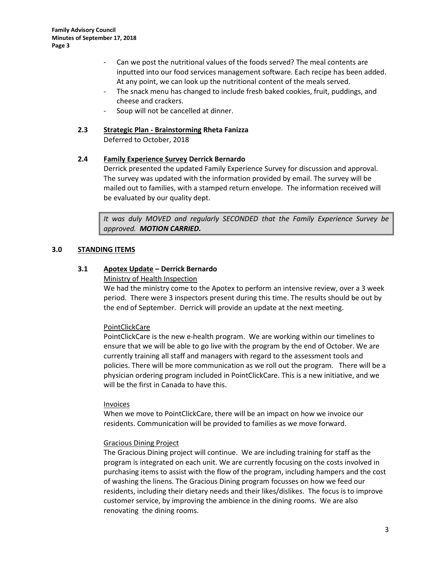- Can we post the nutritional values of the foods served? The meal contents are inputted into our food services management software. Each recipe has been added. At any point, we can look up the nutritional content of the meals served.
- The snack menu has changed to include fresh baked cookies, fruit, puddings, and cheese and crackers.
- Soup will not be cancelled at dinner.

# **2.3 Strategic Plan - Brainstorming Rheta Fanizza**

Deferred to October, 2018

## **2.4 Family Experience Survey Derrick Bernardo**

Derrick presented the updated Family Experience Survey for discussion and approval. The survey was updated with the information provided by email. The survey will be mailed out to families, with a stamped return envelope. The information received will be evaluated by our quality dept.

*It was duly MOVED and regularly SECONDED that the Family Experience Survey be approved. MOTION CARRIED.*

## **3.0 STANDING ITEMS**

## **3.1 Apotex Update – Derrick Bernardo**

## Ministry of Health Inspection

We had the ministry come to the Apotex to perform an intensive review, over a 3 week period. There were 3 inspectors present during this time. The results should be out by the end of September. Derrick will provide an update at the next meeting.

## PointClickCare

PointClickCare is the new e-health program. We are working within our timelines to ensure that we will be able to go live with the program by the end of October. We are currently training all staff and managers with regard to the assessment tools and policies. There will be more communication as we roll out the program. There will be a physician ordering program included in PointClickCare. This is a new initiative, and we will be the first in Canada to have this.

## Invoices

When we move to PointClickCare, there will be an impact on how we invoice our residents. Communication will be provided to families as we move forward.

## Gracious Dining Project

The Gracious Dining project will continue. We are including training for staff as the program is integrated on each unit. We are currently focusing on the costs involved in purchasing items to assist with the flow of the program, including hampers and the cost of washing the linens. The Gracious Dining program focusses on how we feed our residents, including their dietary needs and their likes/dislikes. The focus is to improve customer service, by improving the ambience in the dining rooms. We are also renovating the dining rooms.